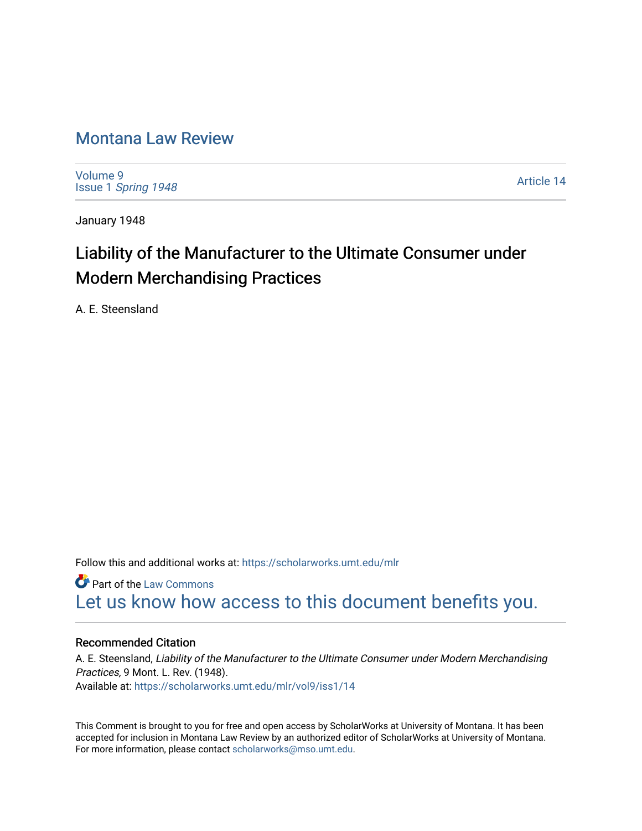### [Montana Law Review](https://scholarworks.umt.edu/mlr)

[Volume 9](https://scholarworks.umt.edu/mlr/vol9) Issue 1 [Spring 1948](https://scholarworks.umt.edu/mlr/vol9/iss1) 

[Article 14](https://scholarworks.umt.edu/mlr/vol9/iss1/14) 

January 1948

## Liability of the Manufacturer to the Ultimate Consumer under Modern Merchandising Practices

A. E. Steensland

Follow this and additional works at: [https://scholarworks.umt.edu/mlr](https://scholarworks.umt.edu/mlr?utm_source=scholarworks.umt.edu%2Fmlr%2Fvol9%2Fiss1%2F14&utm_medium=PDF&utm_campaign=PDFCoverPages) 

**C** Part of the [Law Commons](http://network.bepress.com/hgg/discipline/578?utm_source=scholarworks.umt.edu%2Fmlr%2Fvol9%2Fiss1%2F14&utm_medium=PDF&utm_campaign=PDFCoverPages) [Let us know how access to this document benefits you.](https://goo.gl/forms/s2rGfXOLzz71qgsB2) 

#### Recommended Citation

A. E. Steensland, Liability of the Manufacturer to the Ultimate Consumer under Modern Merchandising Practices, 9 Mont. L. Rev. (1948). Available at: [https://scholarworks.umt.edu/mlr/vol9/iss1/14](https://scholarworks.umt.edu/mlr/vol9/iss1/14?utm_source=scholarworks.umt.edu%2Fmlr%2Fvol9%2Fiss1%2F14&utm_medium=PDF&utm_campaign=PDFCoverPages) 

This Comment is brought to you for free and open access by ScholarWorks at University of Montana. It has been accepted for inclusion in Montana Law Review by an authorized editor of ScholarWorks at University of Montana. For more information, please contact [scholarworks@mso.umt.edu.](mailto:scholarworks@mso.umt.edu)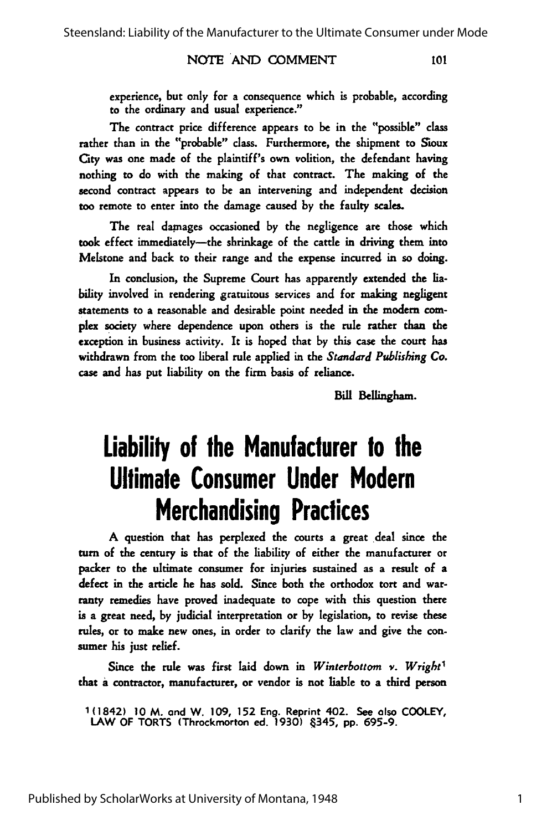#### NOTE AND COMMENT

experience, but only for a consequence which is probable, according to the ordinary and usual experience."

The contract price difference appears to be in the "possible" class rather than in the "probable" class. Furthermore, the shipment to Sioux City was one made of the plaintiff's own volition, the defendant having nothing to do with the making of that contract. The making of the second contract appears to be an intervening and independent decision too remote to enter into the damage caused by the faulty scales.

The real damages occasioned by the negligence are those which took effect immediately-the shrinkage of the cattle in driving them into Melstone and back to their range and the expense incurred in so doing.

In conclusion, the Supreme Court has apparently extended the **ia**bility involved in rendering gratuitous services and for making negligent statements to a reasonable and desirable point needed in the modem **com**plex society where dependence upon others is the rule rather than the exception in business activity. It is hoped that by this case the court has withdrawn from the too liberal rule applied in the *Standard Publishing Co.* case and has put liability on the firm basis of reliance.

Bill Belingham.

101

# **Liability of the Manufacturer to the Ultimate Consumer Under Modern Merchandising Practices**

A question that has perplexed the courts a great deal since the turn of the century is that of the liability of either the manufacturer or packer to the ultimate consumer for injuries sustained as a result of a defect in the article he has sold. Since both the orthodox tort and warranty remedies have proved inadequate to cope with this question there is a great need, by judicial interpretation or by legislation, to revise these rules, or to make new ones, in order to clarify the law and give the consumer his just relief.

Since the rule was first laid down in *Winterbottom v. Wright'* that a contractor, manufacturer, or vendor is not liable to a third person

1(1842) **10** M. and W. 109, **152** Eng. Reprint 402. See also COOLEY, LAW OF TORTS (Throckmorton ed. **1930)** 345, **pp.** 695-9.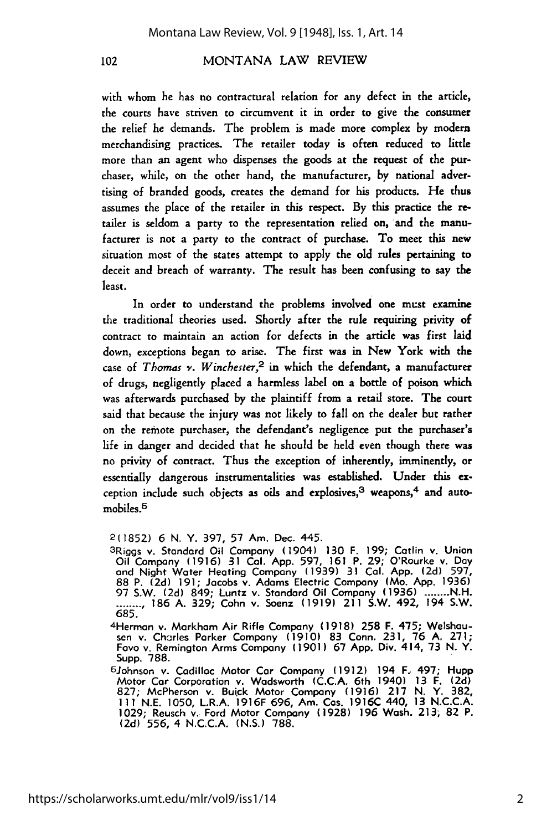#### MONTANA LAW REVIEW

with whom he has no contractural relation for any defect in the article, the courts have striven to circumvent it in order to give the consumer the relief he demands. The problem is made more complex by modem merchandising practices. The retailer today is often reduced to little more than an agent who dispenses the goods at the request of the purchaser, while, on the other hand, the manufacturer, by national advertising of branded goods, creates the demand for his products. He thus assumes the place of the retailer in this respect. By this practice the retailer is seldom a party to the representation relied on, and the manufacturer is not a party to the contract of purchase. To meet this new situation most of the states attempt to apply the old rules pertaining to deceit and breach of warranty. The result has been confusing to say the least.

In order to understand the problems involved one must examine the traditional theories used. Shortly after the rule requiring privity of contract to maintain an action for defects in the article was first laid down, exceptions began to arise. The first was in New York with the case of *Thomas v. Winchester,2* in which the defendant, a manufacturer of drugs, negligently placed a harmless label on a bottle of poison which was afterwards purchased by the plaintiff from a retail store. The court said that because the injury was not **likely** to fall on the dealer but rather on the remote purchaser, the defendant's negligence put the purchaser's life in danger and decided that he should be held even though there was no privity of contract. Thus the exception of inherently, imminently, or essentially dangerous instrumentalities was established. Under this exception include such objects as oils and explosives, $3$  weapons, $4$  and automobiles.6

4Herman **v.** Markham Air Rifle Company (1918) 258 F. 475; Welshausen v. Charles Parker Company **(1910)** 83 Conn. 231, 76 A. 271; Favo v. Remington Arms Company (1901) 67 App. Div. 414, 73 N. Y. Supp. 788. <sup>6</sup>Johnson v. Cadillac Motor Car Company **(1912)** 194 F. 497; Hupp

Motor Car Corporation v. Wadsworth **(C.C.A.** 6th 1940) **13** F. **(2d)** 827; McPherson v. Buick Motor Company **(1916) 217 N. Y. 382, 111 N.E. 1050,** L.R.A. **1916F** 696, Am. Cos. **1916C** 440, **13 N.C.C.A. 1029;** Reusch **v..** Ford Motor Company **(1928) 196** Wash. **213, 82** P. (2d) 556, 4 N.C.C.A. **(N.S.)** 788.

102

<sup>2(1852) 6</sup> N. Y. 397, 57 Am. Dec. 445.

<sup>3</sup> Riggs v. Standard Oil Company (1904) **130** F. **199;** Catlin v. Union Oil Company **(1916) 31 Cal. App.** 597, **161** P. **29;** O'Rourke v. **Day** and Night Water Heating Company **(1939) 31 Col. App. (2d) 597,** 88 P. **(2d) 191;** Jacobs v. Adams Electric Company (Mo. **App. 1936)** 97 S.W. **(2d)** 849; Luntz v. Standard Oil Company **(1936) ........ N.H. ........ 186** .**A. 329;** Cohn v. Soenz **(1919)** 211 S.W. 492, 194 S.W. 685.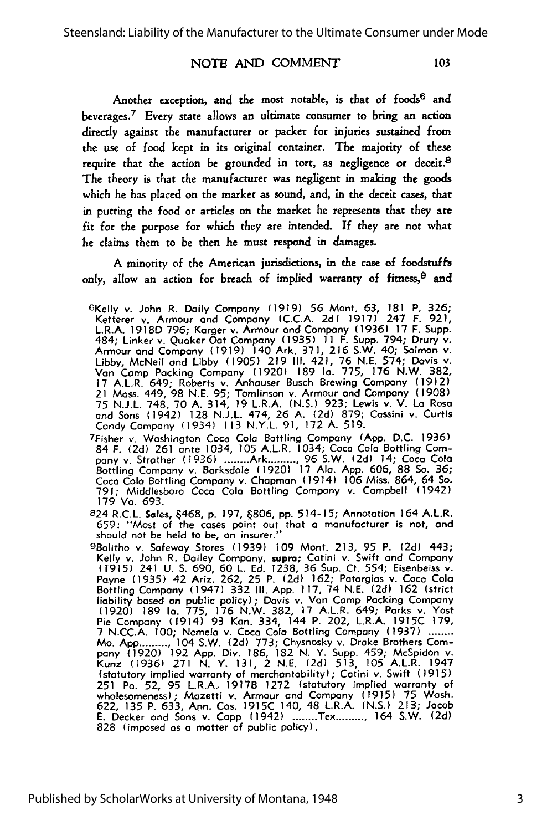103

#### **NOTE AND** COMMENT

Another exception, and the most notable, is that of foods<sup>6</sup> and beverages.<sup>7</sup> Every state allows an ultimate consumer to bring an action directly against the manufacturer or packer for injuries sustained from the use of food kept in its original container. The majority of these require that the action be grounded in tort, as negligence or deceit.<sup>8</sup> The theory is that the manufacturer was negligent in making the goods which he has placed on the market as sound, and, in the deceit cases, that in putting the food or articles on the market he represents that they are fit for the purpose for which they are intended. **If** they are not what he claims them to be then he must respond in damages.

A minority of the American jurisdictions, in the case of foodstuffs only, allow an action for breach of implied warranty of fitness,  $\theta$  and

<sup>6</sup> Kelly v. John R. Daily Company (1919) 56 Mont. 63, **181** P. 326; Ketterer v. Armour **and** Company (C.C.A. **2d( 1917)** 247 F. 921, L.R.A. 1918D **796;** Korger v. Armour **and** Company (1936) **17** F. Supp. 484; Linker v. Quaker Oat Company (1935) 11 F. Supp. 794; Drury v. Armour and Company **(1919)** 140 Ark. **371, 216** S.W. 40; Salmon v. **Libby,** McNeil and **Libby (1905) 219 I1.** 421, 76 **N.E.** 574; Davis v. Van Camp Packing Company **(1920) 189 la. 775, 176** N.W. **382,** 17 A.L.R. 649; Roberts v. Anhouser Busch Brewing Company **(1912)** 21 Mass. 449, **98 N.E. 95;** Tomlinson v. Armour and Company **(1908) 75 N.J.L.** 748, **70 A.** 314, **19** L.R.A. **(N.S.) 923;** Lewis v. V. Lo Rosa and Sons (1942) **128 N.J.L.** 474, **26 A. (2d) 879;** Cassini v. Curtis Candy Company (1934) 113 N.Y.L. **91,** 172 **A.** 519.

7Fisher v. Washington Coca Cola Bottling Company **(App.** D.C. 1936) 84 F. **(2d)** 261 ante 1034, 105 A.L.R. 1034; Coco Cola Bottling Company v. Strother (1936) **........** Ark **..........** 96 S.W. (2d) 14; Coca Cola Bottling Company v. Barksdale (1920) **17 Ala.** App. 606, 88 So. 36; Coca Cola Bottling Company v. Chapman (1914) 106 Miss. 864, 64 So. 791; Middlesboro Coco Colo Bottling Company v. Campbell (1942) **179** Va. 693.

824 R.C.L. **Soles,** 468, **p.** 197, 806, **pp.** 514-15; Annotation 164 A.L.R. 659: "Most of the cases point out that **a** manufacturer is not, and should not be held to be, an insurer.''<br><sup>9</sup>Bolitho v. Safeway Stores (1939) 109 Mont. 213, 95 P. (2d) 443

Kelly v. John R. Dailey Company, supra; Catini v. Swift and Company (1915) 241 U. **S.** 690, 60 L. **Ed.** 1238, 36 Sup. Ct. 554; Eisenbeiss v. Payne (1935) 42 Ariz. 262, 25 P. **(2d)** 162; Patorgias v. Coca Cola Bottling Company (1947) 332 III. App. 117, 74 N.E. **(2d)** 162 (strict liability based on public policy); Davis v. **Van** Camp Packing Company (1920) 189 **Ia.** 775, **176** N.W. 382, 17 A.L.R. 649; Parks v. Yost Pie Company (1914) 93 Kan. 334, 144 P. 202, L.R.A. 1915C 179, **7** N.CC.A. 100; Nemela v. Coca Cola Bottling Company (1937) **........** Mo. App........., 104 S.W. (2d) 773; Chysnosky v. Drake Brothers Com-<br>pany (1920) 192 App. Div. 186, 182 N. Y. Supp. 459; McSpidon v. Kunz (1936) **271** N. Y. 131, 2 N.E. **(2d)** 513, 105 A.L.R. 1947 (statutory implied warranty of merchantability); Catini v. Swift (1915) 251 Pa. 52, 95 L.R.A. 1917B 1272 (statutory implied warranty of<br>wholesomeness); Mazetti v. Armour and Company (1915) 75 Wash.<br>622, 135 P. 633, Ann. Cas. 1915C 140, 48 L.R.A. (N.S.) 213; Jacob E. Decker and Sons v. **Capp** (1942) **........** Tex **.........** 164 S.W. **(2d)** 828 (imposed as **a** matter of public policy).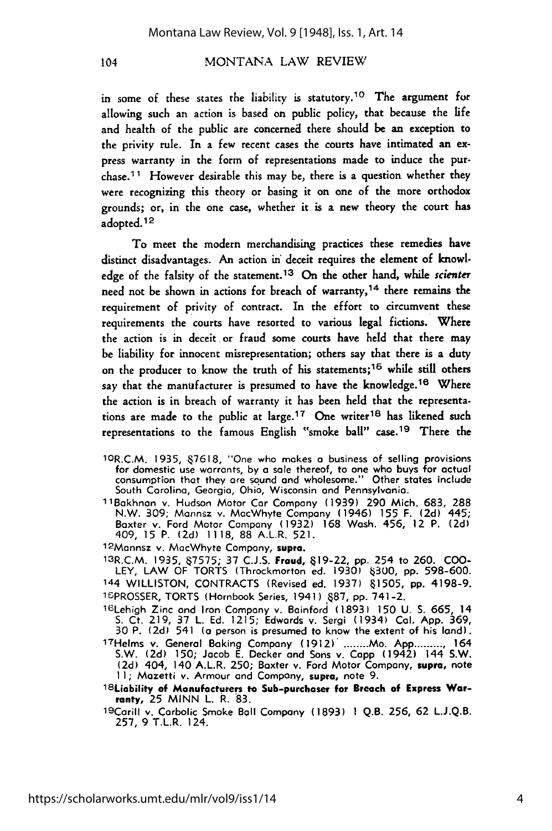#### MONTANA LAW REVIEW

in some of these states the liability is statutory.<sup>10</sup> The argument for allowing such an action is based on public policy, that because the life and health of the public are concerned there should be an exception to the privity rule. In a few recent cases the courts have intimated an express warranty in the form of representations made to induce the purchase.11 However desirable this may be, there is a question whether they were recognizing this theory or basing it on one of the more orthodox grounds; or, in the one case, whether it is a new theory the court has adopted.12

To meet the modern merchandising practices these remedies have distinct disadvantages. An action in deceit requires the element of knowledge of the falsity of the statement.<sup>13</sup> On the other hand, while scienter need not be shown in actions for breach of warranty, 14 there remains the requirement of privity of contract. In the effort to circumvent these requirements the courts have resorted to various legal fictions. Where the action is in deceit or fraud some courts have held that there may be liability for innocent misrepresentation; others say that there is a duty on the producer to know the truth of his statements; 16 while still others say that the manufacturer is presumed to have the knowledge.<sup>16</sup> Where the action is in breach of warranty it has been held that the representations are made to the public at large.<sup>17</sup> One writer<sup>18</sup> has likened such representations to the famous English "smoke ball" case.<sup>19</sup> There the

- 'OR.C.M. 1935, **7618,** "One who makes **a** business of selling provisions for domestic use warrants, **by a** sale thereof, to one who buys for actual consumption that they are sound and wholesome." Other states include South Carolina, Georgia, Ohio, Wisconsin and Pennsylvania.
- 11Bakhnan v. Hudson Motor Car Company **(1939) 290** Mich. **683, 288** N.W. 309; Mannsz v. MacWhyte Company (1946) **155** F. **(2d)** 445; Baxter v. Ford Motor Company **(1932) 168** Wash. 456, 12 P. **(2d)** 409, **15** P. **(2d) 1118, 88** A.L.R. **521.**
- 12 Mannsz v. MacWhyte Company, supra.

13R.C.M. **1935,** 7575; **37 C.J.S. Fraud, 19-22, pp.** 254 to **260. COO-**LEY, LAW OF TORTS (Throckmorton ed. **1930) 0300, pp. 598-600.** 144 WILLISTON, **CONTRACTS** (Revised ed. **1937) 1505, pp.** 4198-9. '6PROSSER, TORTS (Hornbook Series, 1941 **) 87, pp.** 741-2.

<sup>16</sup> Lehigh Zinc and Iron Company v. Boinfori **(1893) 150 U. S. 665,** 14 **S.** Ct. **219,** 37 L. **Ed. 1215;** Edwards v. Sergi (1934) **Col. App. 369, <sup>30</sup>**P. **(2d)** 541 (a person is presumed to know the extent of his land). <sup>17</sup> Helms v. General Baking Company **(1912). .......** Mo. **App ..........** <sup>164</sup>

- S.W. **(2d) 150;** Jacob **E.** Decker and Sons v. **Capp** (1942) 144 S.W. **(2d)** 404, 140 A.L.R. **250;** Baxter v. Ford Motor Company, **supra,** note **11;** Mazetti v. Armour and Company, supra, note **9.**
- 18Liability **of Manufacturers to Sub-purchaser for Breach of Express** Warranty, 25 **MINN** L. R. **83.**

1 9Carill v. Carbolic Smoke Ball Company **(1893) 1 Q.B. 256, 62 L.J.Q.B. 257, 9** T.L.R. 124.

104

4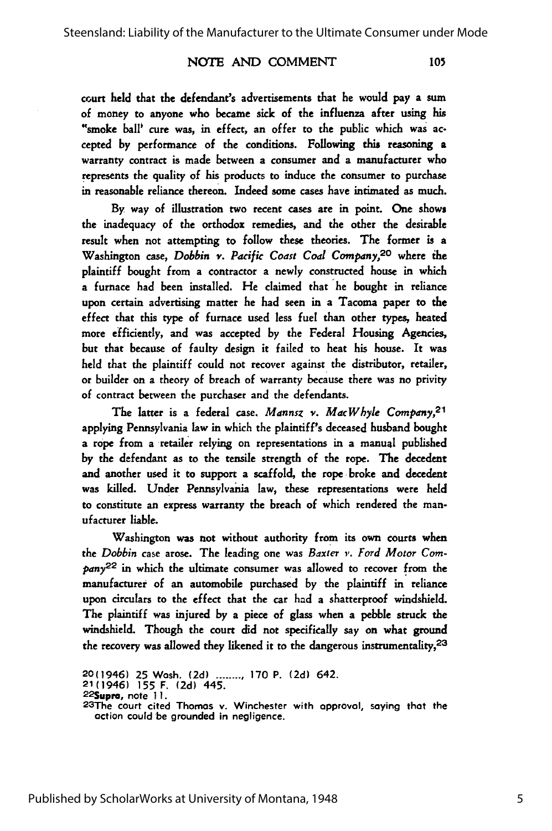#### **NOTE** AND COMMENT

105

court held that the defendant's advertisements that he would pay a sum of money to anyone who became sick of the influenza after using his "smoke ball' cure was, in effect, an offer to the public which was accepted by performance of the conditions. Following this reasoning a warranty contract is made between a consumer and a manufacturer who represents the quality of his products to induce the consumer to purchase in reasonable reliance thereon. Indeed some cases have intimated as much.

By way of illustration two recent cases are in point. One shows the inadequacy of the orthodox remedies, and the other the desirable result when not attempting to follow these theories. The former is a Washington case, *Dobbin v. Pacific Coast Coal Company,20* where the plaintiff bought from a contractor a newly constructed house in which a furnace had been installed. He claimed that **"he** bought in reliance upon certain advertising matter he had seen in a Tacoma paper to the effect that this type of furnace used less fuel than other types, heated more efficiently, and was accepted by the Federal Housing Agencies, but that because of faulty design it failed to heat his house. It was held that the plaintiff could not recover against the distributor, retailer, or builder on a theory of breach of warranty because there was no privity of contract between the purchaser and the defendants.

The latter is a federal case, *Mannsz v. MacWhyle Company,2 '* applying Pennsylvania law in which the plaintiff's deceased husband bought a rope from a retailer relying on representations in a manual published by the defendant as to the tensile strength of the rope. The decedent and another used it to support a scaffold, the rope broke and decedent was killed. Under Pennsylvania law, these representations were held to constitute an express warranty the breach of which rendered the manufacturer liable.

Washington was not without authority from its own courts when the *Dobbin* case arose. The leading one was *Baxter v. Ford Motor Com*pany<sup>22</sup> in which the ultimate consumer was allowed to recover from the manufacturer of an automobile purchased by the plaintiff in reliance upon circulars to the effect that the car had a shatterproof windshield. The plaintiff was injured by a piece of glass when a pebble struck the windshield. Though the court did not specifically say on what ground the recovery was allowed they likened it to the dangerous instrumentality,<sup>23</sup>

<sup>20(1946)</sup> **25** Wash. **(2d) ......... 170** P. **(2d)** 642. 21(1946) **155** F. **(2d)** 445. <sup>22</sup> Supr, note **11. <sup>23</sup> The** court cited Thomas **v.** Winchester with approval, saying that the action could be grounded in negligence.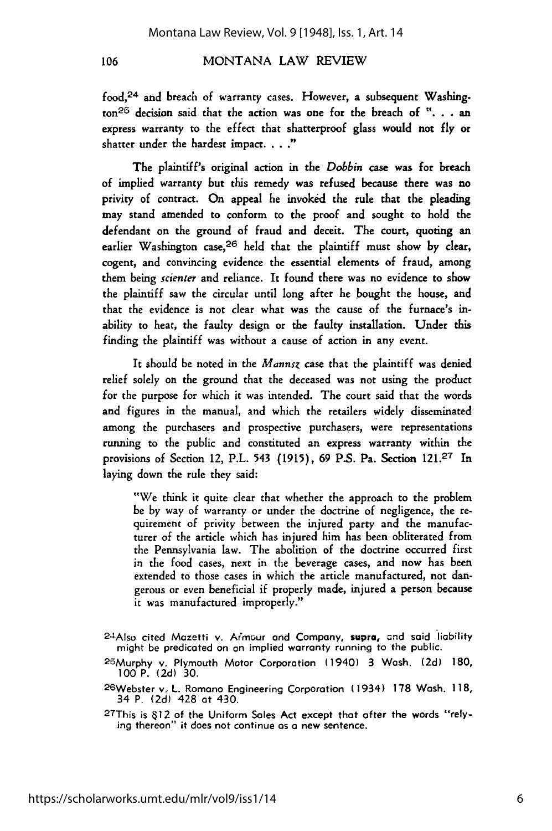106

#### MONTANA LAW REVIEW

**food, <sup>24</sup>**and breach of warranty cases. However, a subsequent Washing- $\text{tan}^{26}$  decision said that the action was one for the breach of ". . . an express warranty to the effect that shatterproof glass would not **fly** or shatter under the hardest impact. **.. "**

The plaintiff's original action in the Dobbin case was for breach of implied warranty but this remedy was refused because there was no privity of contract. On appeal he invoked the rule that the pleading may stand amended to conform to the proof and sought to hold the defendant on the ground of fraud and deceit. The court, quoting an earlier Washington case,  $26$  held that the plaintiff must show by clear, cogent, and convincing evidence the essential elements of fraud, among them being *scienter* and reliance. It found there was no evidence to show the plaintiff saw the circular until long after he bought the house, and that the evidence is not clear what was the cause of the furnace's inability to heat, the faulty design or the faulty installation. Under this finding the plaintiff was without a cause of action in any event.

It should be noted in the *Mannsz* case that the plaintiff was denied relief solely on the ground that the deceased was not using the product for the purpose for which it was intended. The court said that the words and figures in the manual, and which the retailers widely disseminated among the purchasers and prospective purchasers, were representations running to the public and constituted an express warranty within the provisions of Section 12, P.L. 543 (1915), 69 P.S. Pa. Section 121.27 In laying down the rule they said:

"We think it quite clear that whether the approach to the problem be by way of warranty or under the doctrine of negligence, the requirement of privity between the injured party and the manufacturer of the article which has injured him has been obliterated from the Pennsylvania law. The abolition of the doctrine occurred first in the food cases, next in the beverage cases, and now has been extended to those cases in which the article manufactured, not dangerous or even beneficial if properly made, injured a person because it was manufactured improperly."

2 4Also cited Mazetti **v.** Armour and Company, **supra,** cnd said liability might be predicated on an implied warranty running to the public.

25Murphy v. Plymouth Motor Corporation (1940) 3 Wash. (2d) 180,

27This is §12 of the Uniform Sales Act except that after the words "relying thereon" it does not continue as a new sentence.

<sup>100</sup> P. (2d) 30. 2 6Webster v. L. Romano Engineering Corporation (1934) 178 Wash. **118,**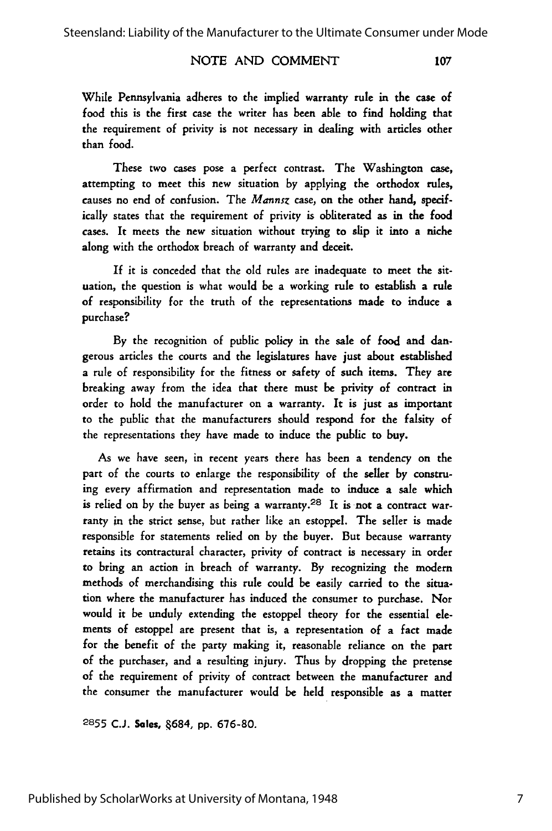#### NOTE AND COMMENT

107

While Pennsylvania adheres to the implied warranty rule in the case of food this is the first case the writer has been able to find holding that the requirement of privity is not necessary in dealing with articles other than food.

These two cases pose a perfect contrast. The Washington case, attempting to meet this new situation by applying the orthodox rules, causes no end of confusion. The *Mannsz* case, on the other hand, specifically states that the requirement of privity is obliterated as in the food cases. It meets the new situation without trying to slip it into a niche along with the orthodox breach of warranty and deceit.

If it is conceded that the old rules are inadequate to meet the situation, the question is what would be a working rule to establish a rule of responsibility for the truth of the representations made to induce a purchase?

By the recognition of public policy in the sale of food and dangerous articles the courts and the legislatures have just about established a rule of responsibility for the fitness or safety of such items. They are breaking away from the idea that there must be privity of contract in order to hold the manufacturer on a warranty. It is just as important to the public that the manufacturers should respond for the falsity of the representations they have made to induce the public to buy.

As we have seen, in recent years there has been a tendency on the part of the courts to enlarge the responsibility of the seller by construing every affirmation and representation made to induce a sale which is relied on by the buyer as being a warranty.<sup>28</sup> It is not a contract warranty in the strict sense, but rather like an estoppel. The seller is made responsible for statements relied on by the buyer. But because warranty retains its contractural character, privity of contract is necessary in order to bring an action in breach of warranty. By recognizing the modem methods of merchandising this rule could be easily carried to the situation where the manufacturer has induced the consumer to purchase. Nor would it be unduly extending the estoppel theory for the essential **ele**ments of estoppel are present that is, a representation of a fact made for the benefit of the party making it, reasonable reliance on the part of the purchaser, and a resulting injury. Thus by dropping the pretense of the requirement of privity of contract between the manufacturer and the consumer the manufacturer would be held responsible as a matter

**2855 C.J. Sales,** 684, **pp.** 676-80.